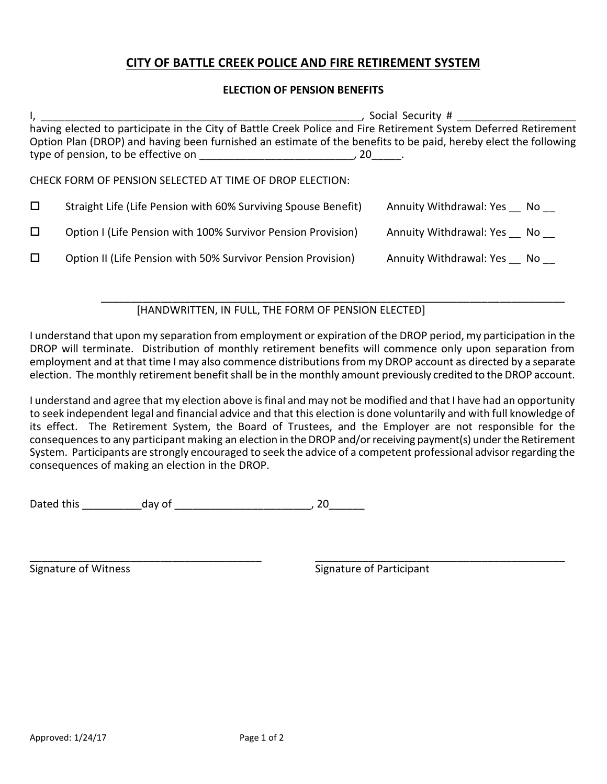## **CITY OF BATTLE CREEK POLICE AND FIRE RETIREMENT SYSTEM**

## **ELECTION OF PENSION BENEFITS**

|        | having elected to participate in the City of Battle Creek Police and Fire Retirement System Deferred Retirement          |                            |
|--------|--------------------------------------------------------------------------------------------------------------------------|----------------------------|
|        | Option Plan (DROP) and having been furnished an estimate of the benefits to be paid, hereby elect the following<br>, 20. |                            |
|        | CHECK FORM OF PENSION SELECTED AT TIME OF DROP ELECTION:                                                                 |                            |
| $\Box$ | Straight Life (Life Pension with 60% Surviving Spouse Benefit)                                                           | Annuity Withdrawal: Yes No |
| □      | Option I (Life Pension with 100% Survivor Pension Provision)                                                             | Annuity Withdrawal: Yes No |
| $\Box$ | Option II (Life Pension with 50% Survivor Pension Provision)                                                             | Annuity Withdrawal: Yes No |

\_\_\_\_\_\_\_\_\_\_\_\_\_\_\_\_\_\_\_\_\_\_\_\_\_\_\_\_\_\_\_\_\_\_\_\_\_\_\_\_\_\_\_\_\_\_\_\_\_\_\_\_\_\_\_\_\_\_\_\_\_\_\_\_\_\_\_\_\_\_\_\_\_\_\_\_\_\_ [HANDWRITTEN, IN FULL, THE FORM OF PENSION ELECTED]

I understand that upon my separation from employment or expiration of the DROP period, my participation in the DROP will terminate. Distribution of monthly retirement benefits will commence only upon separation from employment and at that time I may also commence distributions from my DROP account as directed by a separate election. The monthly retirement benefit shall be in the monthly amount previously credited to the DROP account.

I understand and agree that my election above is final and may not be modified and that I have had an opportunity to seek independent legal and financial advice and that this election is done voluntarily and with full knowledge of its effect. The Retirement System, the Board of Trustees, and the Employer are not responsible for the consequences to any participant making an election in the DROP and/or receiving payment(s) under the Retirement System. Participants are strongly encouraged to seek the advice of a competent professional advisor regarding the consequences of making an election in the DROP.

Dated this \_\_\_\_\_\_\_\_\_\_day of \_\_\_\_\_\_\_\_\_\_\_\_\_\_\_\_\_\_\_\_\_\_\_, 20\_\_\_\_\_\_

\_\_\_\_\_\_\_\_\_\_\_\_\_\_\_\_\_\_\_\_\_\_\_\_\_\_\_\_\_\_\_\_\_\_\_\_\_\_\_ \_\_\_\_\_\_\_\_\_\_\_\_\_\_\_\_\_\_\_\_\_\_\_\_\_\_\_\_\_\_\_\_\_\_\_\_\_\_\_\_\_\_ Signature of Witness Signature of Participant